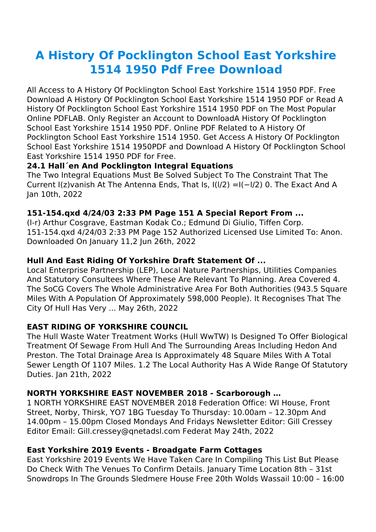# **A History Of Pocklington School East Yorkshire 1514 1950 Pdf Free Download**

All Access to A History Of Pocklington School East Yorkshire 1514 1950 PDF. Free Download A History Of Pocklington School East Yorkshire 1514 1950 PDF or Read A History Of Pocklington School East Yorkshire 1514 1950 PDF on The Most Popular Online PDFLAB. Only Register an Account to DownloadA History Of Pocklington School East Yorkshire 1514 1950 PDF. Online PDF Related to A History Of Pocklington School East Yorkshire 1514 1950. Get Access A History Of Pocklington School East Yorkshire 1514 1950PDF and Download A History Of Pocklington School East Yorkshire 1514 1950 PDF for Free.

## **24.1 Hall´en And Pocklington Integral Equations**

The Two Integral Equations Must Be Solved Subject To The Constraint That The Current I(z)vanish At The Antenna Ends, That Is, I(l/2) =I(−l/2) 0. The Exact And A Jan 10th, 2022

## **151-154.qxd 4/24/03 2:33 PM Page 151 A Special Report From ...**

(l-r) Arthur Cosgrave, Eastman Kodak Co.; Edmund Di Giulio, Tiffen Corp. 151-154.qxd 4/24/03 2:33 PM Page 152 Authorized Licensed Use Limited To: Anon. Downloaded On January 11,2 Jun 26th, 2022

## **Hull And East Riding Of Yorkshire Draft Statement Of ...**

Local Enterprise Partnership (LEP), Local Nature Partnerships, Utilities Companies And Statutory Consultees Where These Are Relevant To Planning. Area Covered 4. The SoCG Covers The Whole Administrative Area For Both Authorities (943.5 Square Miles With A Population Of Approximately 598,000 People). It Recognises That The City Of Hull Has Very ... May 26th, 2022

## **EAST RIDING OF YORKSHIRE COUNCIL**

The Hull Waste Water Treatment Works (Hull WwTW) Is Designed To Offer Biological Treatment Of Sewage From Hull And The Surrounding Areas Including Hedon And Preston. The Total Drainage Area Is Approximately 48 Square Miles With A Total Sewer Length Of 1107 Miles. 1.2 The Local Authority Has A Wide Range Of Statutory Duties. Jan 21th, 2022

# **NORTH YORKSHIRE EAST NOVEMBER 2018 - Scarborough …**

1 NORTH YORKSHIRE EAST NOVEMBER 2018 Federation Office: WI House, Front Street, Norby, Thirsk, YO7 1BG Tuesday To Thursday: 10.00am – 12.30pm And 14.00pm – 15.00pm Closed Mondays And Fridays Newsletter Editor: Gill Cressey Editor Email: Gill.cressey@qnetadsl.com Federat May 24th, 2022

## **East Yorkshire 2019 Events - Broadgate Farm Cottages**

East Yorkshire 2019 Events We Have Taken Care In Compiling This List But Please Do Check With The Venues To Confirm Details. January Time Location 8th – 31st Snowdrops In The Grounds Sledmere House Free 20th Wolds Wassail 10:00 – 16:00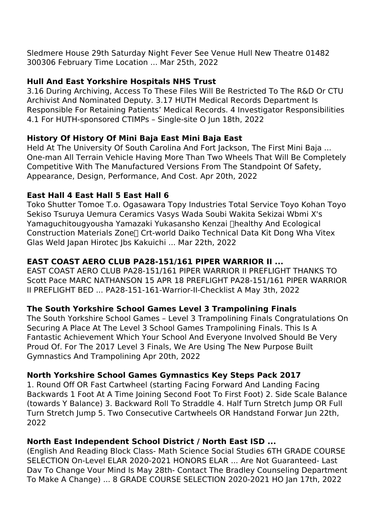Sledmere House 29th Saturday Night Fever See Venue Hull New Theatre 01482 300306 February Time Location ... Mar 25th, 2022

# **Hull And East Yorkshire Hospitals NHS Trust**

3.16 During Archiving, Access To These Files Will Be Restricted To The R&D Or CTU Archivist And Nominated Deputy. 3.17 HUTH Medical Records Department Is Responsible For Retaining Patients' Medical Records. 4 Investigator Responsibilities 4.1 For HUTH-sponsored CTIMPs – Single-site O Jun 18th, 2022

## **History Of History Of Mini Baja East Mini Baja East**

Held At The University Of South Carolina And Fort Jackson, The First Mini Baja ... One-man All Terrain Vehicle Having More Than Two Wheels That Will Be Completely Competitive With The Manufactured Versions From The Standpoint Of Safety, Appearance, Design, Performance, And Cost. Apr 20th, 2022

## **East Hall 4 East Hall 5 East Hall 6**

Toko Shutter Tomoe T.o. Ogasawara Topy Industries Total Service Toyo Kohan Toyo Sekiso Tsuruya Uemura Ceramics Vasys Wada Soubi Wakita Sekizai Wbmi X's Yamaguchitougyousha Yamazaki Yukasansho Kenzai 【healthy And Ecological Construction Materials Zone<sup>n</sup> Crt-world Daiko Technical Data Kit Dong Wha Vitex Glas Weld Japan Hirotec Jbs Kakuichi ... Mar 22th, 2022

## **EAST COAST AERO CLUB PA28-151/161 PIPER WARRIOR II ...**

EAST COAST AERO CLUB PA28-151/161 PIPER WARRIOR II PREFLIGHT THANKS TO Scott Pace MARC NATHANSON 15 APR 18 PREFLIGHT PA28-151/161 PIPER WARRIOR II PREFLIGHT BED ... PA28-151-161-Warrior-II-Checklist A May 3th, 2022

## **The South Yorkshire School Games Level 3 Trampolining Finals**

The South Yorkshire School Games – Level 3 Trampolining Finals Congratulations On Securing A Place At The Level 3 School Games Trampolining Finals. This Is A Fantastic Achievement Which Your School And Everyone Involved Should Be Very Proud Of. For The 2017 Level 3 Finals, We Are Using The New Purpose Built Gymnastics And Trampolining Apr 20th, 2022

## **North Yorkshire School Games Gymnastics Key Steps Pack 2017**

1. Round Off OR Fast Cartwheel (starting Facing Forward And Landing Facing Backwards 1 Foot At A Time Joining Second Foot To First Foot) 2. Side Scale Balance (towards Y Balance) 3. Backward Roll To Straddle 4. Half Turn Stretch Jump OR Full Turn Stretch Jump 5. Two Consecutive Cartwheels OR Handstand Forwar Jun 22th, 2022

# **North East Independent School District / North East ISD ...**

(English And Reading Block Class- Math Science Social Studies 6TH GRADE COURSE SELECTION On-Level ELAR 2020-2021 HONORS ELAR ... Are Not Guaranteed- Last Dav To Change Vour Mind Is May 28th- Contact The Bradley Counseling Department To Make A Change) ... 8 GRADE COURSE SELECTION 2020-2021 HO Jan 17th, 2022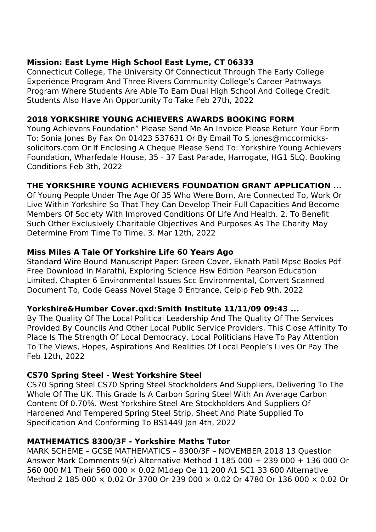## **Mission: East Lyme High School East Lyme, CT 06333**

Connecticut College, The University Of Connecticut Through The Early College Experience Program And Three Rivers Community College's Career Pathways Program Where Students Are Able To Earn Dual High School And College Credit. Students Also Have An Opportunity To Take Feb 27th, 2022

## **2018 YORKSHIRE YOUNG ACHIEVERS AWARDS BOOKING FORM**

Young Achievers Foundation" Please Send Me An Invoice Please Return Your Form To: Sonia Jones By Fax On 01423 537631 Or By Email To S.jones@mccormickssolicitors.com Or If Enclosing A Cheque Please Send To: Yorkshire Young Achievers Foundation, Wharfedale House, 35 - 37 East Parade, Harrogate, HG1 5LQ. Booking Conditions Feb 3th, 2022

# **THE YORKSHIRE YOUNG ACHIEVERS FOUNDATION GRANT APPLICATION ...**

Of Young People Under The Age Of 35 Who Were Born, Are Connected To, Work Or Live Within Yorkshire So That They Can Develop Their Full Capacities And Become Members Of Society With Improved Conditions Of Life And Health. 2. To Benefit Such Other Exclusively Charitable Objectives And Purposes As The Charity May Determine From Time To Time. 3. Mar 12th, 2022

# **Miss Miles A Tale Of Yorkshire Life 60 Years Ago**

Standard Wire Bound Manuscript Paper: Green Cover, Eknath Patil Mpsc Books Pdf Free Download In Marathi, Exploring Science Hsw Edition Pearson Education Limited, Chapter 6 Environmental Issues Scc Environmental, Convert Scanned Document To, Code Geass Novel Stage 0 Entrance, Celpip Feb 9th, 2022

# **Yorkshire&Humber Cover.qxd:Smith Institute 11/11/09 09:43 ...**

By The Quality Of The Local Political Leadership And The Quality Of The Services Provided By Councils And Other Local Public Service Providers. This Close Affinity To Place Is The Strength Of Local Democracy. Local Politicians Have To Pay Attention To The Views, Hopes, Aspirations And Realities Of Local People's Lives Or Pay The Feb 12th, 2022

# **CS70 Spring Steel - West Yorkshire Steel**

CS70 Spring Steel CS70 Spring Steel Stockholders And Suppliers, Delivering To The Whole Of The UK. This Grade Is A Carbon Spring Steel With An Average Carbon Content Of 0.70%. West Yorkshire Steel Are Stockholders And Suppliers Of Hardened And Tempered Spring Steel Strip, Sheet And Plate Supplied To Specification And Conforming To BS1449 Jan 4th, 2022

# **MATHEMATICS 8300/3F - Yorkshire Maths Tutor**

MARK SCHEME – GCSE MATHEMATICS – 8300/3F – NOVEMBER 2018 13 Question Answer Mark Comments  $9(c)$  Alternative Method 1 185 000 + 239 000 + 136 000 Or 560 000 M1 Their 560 000 × 0.02 M1dep Oe 11 200 A1 SC1 33 600 Alternative Method 2 185 000 × 0.02 Or 3700 Or 239 000 × 0.02 Or 4780 Or 136 000 × 0.02 Or